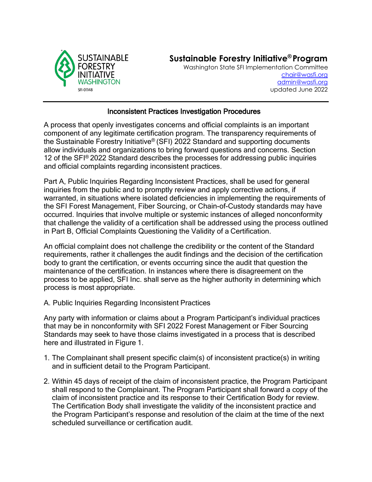

## **Sustainable Forestry Initiative® Program**

Washington State SFI Implementation Committee [chair@wasfi.org](mailto:chair@wasfi.org) [admin@wasfi.org](mailto:admin@wasfi.org) updated June 2022

## Inconsistent Practices Investigation Procedures

A process that openly investigates concerns and official complaints is an important component of any legitimate certification program. The transparency requirements of the Sustainable Forestry Initiative® (SFI) 2022 Standard and supporting documents allow individuals and organizations to bring forward questions and concerns. Section 12 of the SFI® 2022 Standard describes the processes for addressing public inquiries and official complaints regarding inconsistent practices.

Part A, Public Inquiries Regarding Inconsistent Practices, shall be used for general inquiries from the public and to promptly review and apply corrective actions, if warranted, in situations where isolated deficiencies in implementing the requirements of the SFI Forest Management, Fiber Sourcing, or Chain-of-Custody standards may have occurred. Inquiries that involve multiple or systemic instances of alleged nonconformity that challenge the validity of a certification shall be addressed using the process outlined in Part B, Official Complaints Questioning the Validity of a Certification.

An official complaint does not challenge the credibility or the content of the Standard requirements, rather it challenges the audit findings and the decision of the certification body to grant the certification, or events occurring since the audit that question the maintenance of the certification. In instances where there is disagreement on the process to be applied, SFI Inc. shall serve as the higher authority in determining which process is most appropriate.

A. Public Inquiries Regarding Inconsistent Practices

Any party with information or claims about a Program Participant's individual practices that may be in nonconformity with SFI 2022 Forest Management or Fiber Sourcing Standards may seek to have those claims investigated in a process that is described here and illustrated in Figure 1.

- 1. The Complainant shall present specific claim(s) of inconsistent practice(s) in writing and in sufficient detail to the Program Participant.
- 2. Within 45 days of receipt of the claim of inconsistent practice, the Program Participant shall respond to the Complainant. The Program Participant shall forward a copy of the claim of inconsistent practice and its response to their Certification Body for review. The Certification Body shall investigate the validity of the inconsistent practice and the Program Participant's response and resolution of the claim at the time of the next scheduled surveillance or certification audit.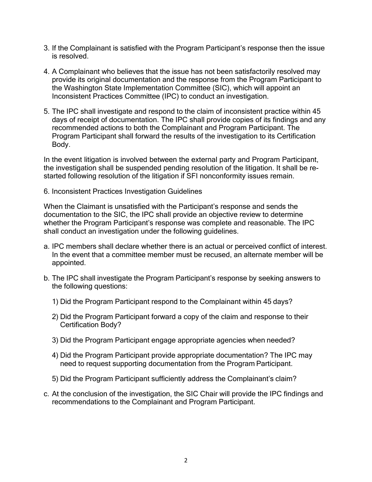- 3. If the Complainant is satisfied with the Program Participant's response then the issue is resolved.
- 4. A Complainant who believes that the issue has not been satisfactorily resolved may provide its original documentation and the response from the Program Participant to the Washington State Implementation Committee (SIC), which will appoint an Inconsistent Practices Committee (IPC) to conduct an investigation.
- 5. The IPC shall investigate and respond to the claim of inconsistent practice within 45 days of receipt of documentation. The IPC shall provide copies of its findings and any recommended actions to both the Complainant and Program Participant. The Program Participant shall forward the results of the investigation to its Certification Body.

In the event litigation is involved between the external party and Program Participant, the investigation shall be suspended pending resolution of the litigation. It shall be restarted following resolution of the litigation if SFI nonconformity issues remain.

6. Inconsistent Practices Investigation Guidelines

When the Claimant is unsatisfied with the Participant's response and sends the documentation to the SIC, the IPC shall provide an objective review to determine whether the Program Participant's response was complete and reasonable. The IPC shall conduct an investigation under the following guidelines.

- a. IPC members shall declare whether there is an actual or perceived conflict of interest. In the event that a committee member must be recused, an alternate member will be appointed.
- b. The IPC shall investigate the Program Participant's response by seeking answers to the following questions:
	- 1) Did the Program Participant respond to the Complainant within 45 days?
	- 2) Did the Program Participant forward a copy of the claim and response to their Certification Body?
	- 3) Did the Program Participant engage appropriate agencies when needed?
	- 4) Did the Program Participant provide appropriate documentation? The IPC may need to request supporting documentation from the Program Participant.
	- 5) Did the Program Participant sufficiently address the Complainant's claim?
- c. At the conclusion of the investigation, the SIC Chair will provide the IPC findings and recommendations to the Complainant and Program Participant.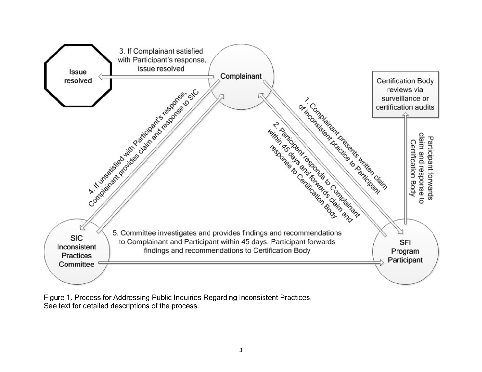

Figure 1. Process for Addressing Public Inquiries Regarding Inconsistent Practices. See text for detailed descriptions of the process.